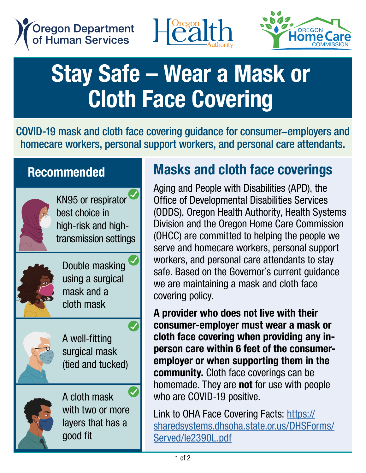





## Stay Safe – Wear a Mask or Cloth Face Covering

COVID-19 mask and cloth face covering guidance for consumer–employers and homecare workers, personal support workers, and personal care attendants.

## **Recommended**



KN95 or respirator best choice in high-risk and hightransmission settings



Double masking using a surgical mask and a cloth mask



A well-fitting surgical mask (tied and tucked)

 $\boldsymbol{Q}$ 



A cloth mask with two or more layers that has a good fit

## Masks and cloth face coverings

Aging and People with Disabilities (APD), the Office of Developmental Disabilities Services (ODDS), Oregon Health Authority, Health Systems Division and the Oregon Home Care Commission (OHCC) are committed to helping the people we serve and homecare workers, personal support workers, and personal care attendants to stay safe. Based on the Governor's current guidance we are maintaining a mask and cloth face covering policy.

A provider who does not live with their consumer-employer must wear a mask or cloth face covering when providing any inperson care within 6 feet of the consumeremployer or when supporting them in the community. Cloth face coverings can be homemade. They are **not** for use with people who are COVID-19 positive.

Link to OHA Face Covering Facts: [https://](https://sharedsystems.dhsoha.state.or.us/DHSForms/Served/le2390L.pdf) [sharedsystems.dhsoha.state.or.us/DHSForms/](https://sharedsystems.dhsoha.state.or.us/DHSForms/Served/le2390L.pdf) [Served/le2390L.pdf](https://sharedsystems.dhsoha.state.or.us/DHSForms/Served/le2390L.pdf)